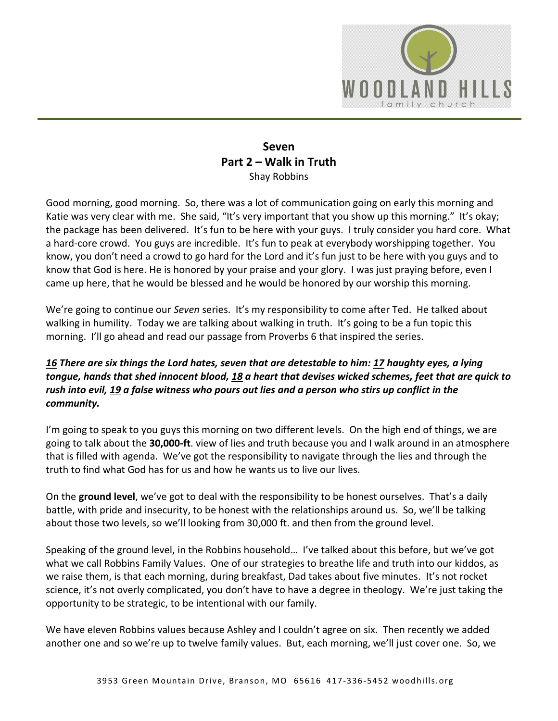

## **Seven Part 2 – Walk in Truth** Shay Robbins

Good morning, good morning. So, there was a lot of communication going on early this morning and Katie was very clear with me. She said, "It's very important that you show up this morning." It's okay; the package has been delivered. It's fun to be here with your guys. I truly consider you hard core. What a hard-core crowd. You guys are incredible. It's fun to peak at everybody worshipping together. You know, you don't need a crowd to go hard for the Lord and it's fun just to be here with you guys and to know that God is here. He is honored by your praise and your glory. I was just praying before, even I came up here, that he would be blessed and he would be honored by our worship this morning.

We're going to continue our *Seven* series. It's my responsibility to come after Ted. He talked about walking in humility. Today we are talking about walking in truth. It's going to be a fun topic this morning. I'll go ahead and read our passage from Proverbs 6 that inspired the series.

## *[16](https://www.studylight.org/desk/?q=pr%206:16&t1=en_niv&sr=1) There are six things the Lord hates, seven that are detestable to him: [17](https://www.studylight.org/desk/?q=pr%206:17&t1=en_niv&sr=1) haughty eyes, a lying tongue, hands that shed innocent blood, [18](https://www.studylight.org/desk/?q=pr%206:18&t1=en_niv&sr=1) a heart that devises wicked schemes, feet that are quick to rush into evil, [19](https://www.studylight.org/desk/?q=pr%206:19&t1=en_niv&sr=1) a false witness who pours out lies and a person who stirs up conflict in the community.*

I'm going to speak to you guys this morning on two different levels. On the high end of things, we are going to talk about the **30,000-ft**. view of lies and truth because you and I walk around in an atmosphere that is filled with agenda. We've got the responsibility to navigate through the lies and through the truth to find what God has for us and how he wants us to live our lives.

On the **ground level**, we've got to deal with the responsibility to be honest ourselves. That's a daily battle, with pride and insecurity, to be honest with the relationships around us. So, we'll be talking about those two levels, so we'll looking from 30,000 ft. and then from the ground level.

Speaking of the ground level, in the Robbins household… I've talked about this before, but we've got what we call Robbins Family Values. One of our strategies to breathe life and truth into our kiddos, as we raise them, is that each morning, during breakfast, Dad takes about five minutes. It's not rocket science, it's not overly complicated, you don't have to have a degree in theology. We're just taking the opportunity to be strategic, to be intentional with our family.

We have eleven Robbins values because Ashley and I couldn't agree on six. Then recently we added another one and so we're up to twelve family values. But, each morning, we'll just cover one. So, we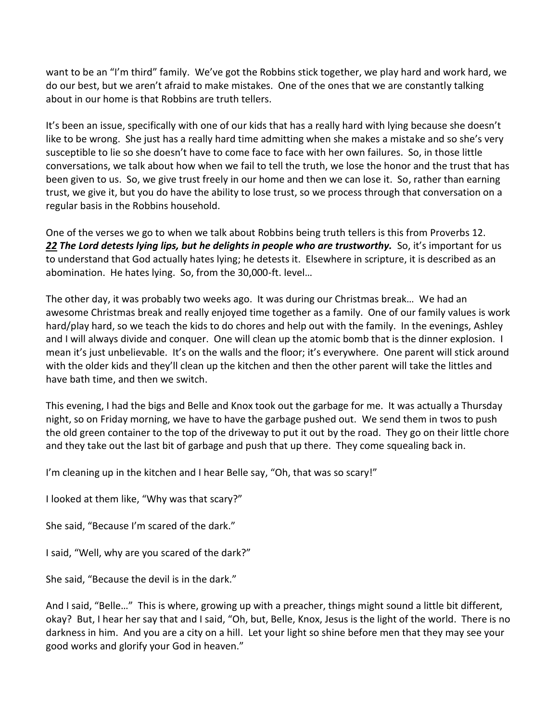want to be an "I'm third" family. We've got the Robbins stick together, we play hard and work hard, we do our best, but we aren't afraid to make mistakes. One of the ones that we are constantly talking about in our home is that Robbins are truth tellers.

It's been an issue, specifically with one of our kids that has a really hard with lying because she doesn't like to be wrong. She just has a really hard time admitting when she makes a mistake and so she's very susceptible to lie so she doesn't have to come face to face with her own failures. So, in those little conversations, we talk about how when we fail to tell the truth, we lose the honor and the trust that has been given to us. So, we give trust freely in our home and then we can lose it. So, rather than earning trust, we give it, but you do have the ability to lose trust, so we process through that conversation on a regular basis in the Robbins household.

One of the verses we go to when we talk about Robbins being truth tellers is this from Proverbs 12. *[22](https://www.studylight.org/desk/?q=pr%2012:22&t1=en_niv&sr=1) The Lord detests lying lips, but he delights in people who are trustworthy.* So, it's important for us to understand that God actually hates lying; he detests it. Elsewhere in scripture, it is described as an abomination. He hates lying. So, from the 30,000-ft. level…

The other day, it was probably two weeks ago. It was during our Christmas break… We had an awesome Christmas break and really enjoyed time together as a family. One of our family values is work hard/play hard, so we teach the kids to do chores and help out with the family. In the evenings, Ashley and I will always divide and conquer. One will clean up the atomic bomb that is the dinner explosion. I mean it's just unbelievable. It's on the walls and the floor; it's everywhere. One parent will stick around with the older kids and they'll clean up the kitchen and then the other parent will take the littles and have bath time, and then we switch.

This evening, I had the bigs and Belle and Knox took out the garbage for me. It was actually a Thursday night, so on Friday morning, we have to have the garbage pushed out. We send them in twos to push the old green container to the top of the driveway to put it out by the road. They go on their little chore and they take out the last bit of garbage and push that up there. They come squealing back in.

I'm cleaning up in the kitchen and I hear Belle say, "Oh, that was so scary!"

I looked at them like, "Why was that scary?"

She said, "Because I'm scared of the dark."

I said, "Well, why are you scared of the dark?"

She said, "Because the devil is in the dark."

And I said, "Belle…" This is where, growing up with a preacher, things might sound a little bit different, okay? But, I hear her say that and I said, "Oh, but, Belle, Knox, Jesus is the light of the world. There is no darkness in him. And you are a city on a hill. Let your light so shine before men that they may see your good works and glorify your God in heaven."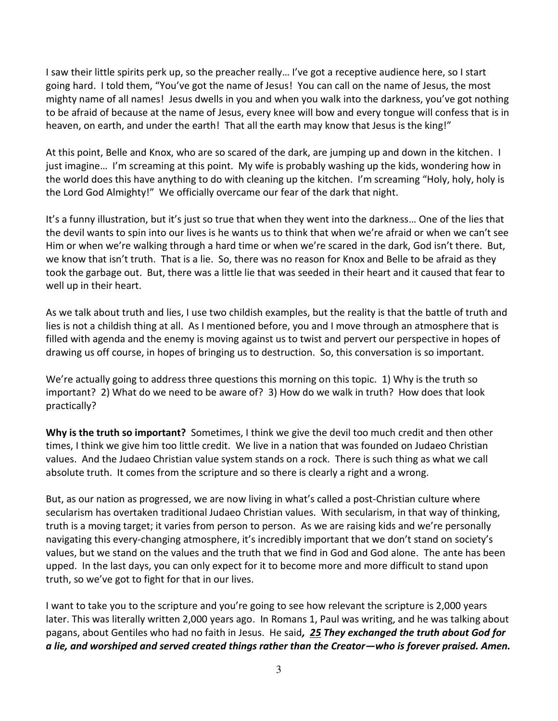I saw their little spirits perk up, so the preacher really… I've got a receptive audience here, so I start going hard. I told them, "You've got the name of Jesus! You can call on the name of Jesus, the most mighty name of all names! Jesus dwells in you and when you walk into the darkness, you've got nothing to be afraid of because at the name of Jesus, every knee will bow and every tongue will confess that is in heaven, on earth, and under the earth! That all the earth may know that Jesus is the king!"

At this point, Belle and Knox, who are so scared of the dark, are jumping up and down in the kitchen. I just imagine… I'm screaming at this point. My wife is probably washing up the kids, wondering how in the world does this have anything to do with cleaning up the kitchen. I'm screaming "Holy, holy, holy is the Lord God Almighty!" We officially overcame our fear of the dark that night.

It's a funny illustration, but it's just so true that when they went into the darkness… One of the lies that the devil wants to spin into our lives is he wants us to think that when we're afraid or when we can't see Him or when we're walking through a hard time or when we're scared in the dark, God isn't there. But, we know that isn't truth. That is a lie. So, there was no reason for Knox and Belle to be afraid as they took the garbage out. But, there was a little lie that was seeded in their heart and it caused that fear to well up in their heart.

As we talk about truth and lies, I use two childish examples, but the reality is that the battle of truth and lies is not a childish thing at all. As I mentioned before, you and I move through an atmosphere that is filled with agenda and the enemy is moving against us to twist and pervert our perspective in hopes of drawing us off course, in hopes of bringing us to destruction. So, this conversation is so important.

We're actually going to address three questions this morning on this topic. 1) Why is the truth so important? 2) What do we need to be aware of? 3) How do we walk in truth? How does that look practically?

**Why is the truth so important?** Sometimes, I think we give the devil too much credit and then other times, I think we give him too little credit. We live in a nation that was founded on Judaeo Christian values. And the Judaeo Christian value system stands on a rock. There is such thing as what we call absolute truth. It comes from the scripture and so there is clearly a right and a wrong.

But, as our nation as progressed, we are now living in what's called a post-Christian culture where secularism has overtaken traditional Judaeo Christian values. With secularism, in that way of thinking, truth is a moving target; it varies from person to person. As we are raising kids and we're personally navigating this every-changing atmosphere, it's incredibly important that we don't stand on society's values, but we stand on the values and the truth that we find in God and God alone.The ante has been upped. In the last days, you can only expect for it to become more and more difficult to stand upon truth, so we've got to fight for that in our lives.

I want to take you to the scripture and you're going to see how relevant the scripture is 2,000 years later. This was literally written 2,000 years ago. In Romans 1, Paul was writing, and he was talking about pagans, about Gentiles who had no faith in Jesus. He said*, [25](https://www.studylight.org/desk/?q=ro%201:25&t1=en_niv&sr=1) They exchanged the truth about God for a lie, and worshiped and served created things rather than the Creator—who is forever praised. Amen.*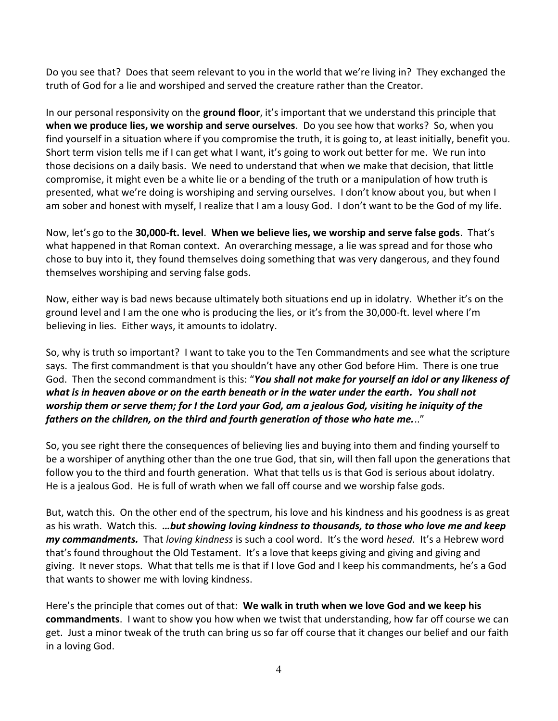Do you see that? Does that seem relevant to you in the world that we're living in? They exchanged the truth of God for a lie and worshiped and served the creature rather than the Creator.

In our personal responsivity on the **ground floor**, it's important that we understand this principle that **when we produce lies, we worship and serve ourselves**. Do you see how that works? So, when you find yourself in a situation where if you compromise the truth, it is going to, at least initially, benefit you. Short term vision tells me if I can get what I want, it's going to work out better for me. We run into those decisions on a daily basis. We need to understand that when we make that decision, that little compromise, it might even be a white lie or a bending of the truth or a manipulation of how truth is presented, what we're doing is worshiping and serving ourselves. I don't know about you, but when I am sober and honest with myself, I realize that I am a lousy God. I don't want to be the God of my life.

Now, let's go to the **30,000-ft. level**. **When we believe lies, we worship and serve false gods**. That's what happened in that Roman context. An overarching message, a lie was spread and for those who chose to buy into it, they found themselves doing something that was very dangerous, and they found themselves worshiping and serving false gods.

Now, either way is bad news because ultimately both situations end up in idolatry. Whether it's on the ground level and I am the one who is producing the lies, or it's from the 30,000-ft. level where I'm believing in lies. Either ways, it amounts to idolatry.

So, why is truth so important? I want to take you to the Ten Commandments and see what the scripture says. The first commandment is that you shouldn't have any other God before Him. There is one true God. Then the second commandment is this: "*You shall not make for yourself an idol or any likeness of what is in heaven above or on the earth beneath or in the water under the earth. You shall not worship them or serve them; for I the Lord your God, am a jealous God, visiting he iniquity of the fathers on the children, on the third and fourth generation of those who hate me.*.."

So, you see right there the consequences of believing lies and buying into them and finding yourself to be a worshiper of anything other than the one true God, that sin, will then fall upon the generations that follow you to the third and fourth generation. What that tells us is that God is serious about idolatry. He is a jealous God. He is full of wrath when we fall off course and we worship false gods.

But, watch this. On the other end of the spectrum, his love and his kindness and his goodness is as great as his wrath. Watch this. *…but showing loving kindness to thousands, to those who love me and keep my commandments.* That *loving kindness* is such a cool word. It's the word *hesed*. It's a Hebrew word that's found throughout the Old Testament. It's a love that keeps giving and giving and giving and giving. It never stops. What that tells me is that if I love God and I keep his commandments, he's a God that wants to shower me with loving kindness.

Here's the principle that comes out of that: **We walk in truth when we love God and we keep his commandments**. I want to show you how when we twist that understanding, how far off course we can get. Just a minor tweak of the truth can bring us so far off course that it changes our belief and our faith in a loving God.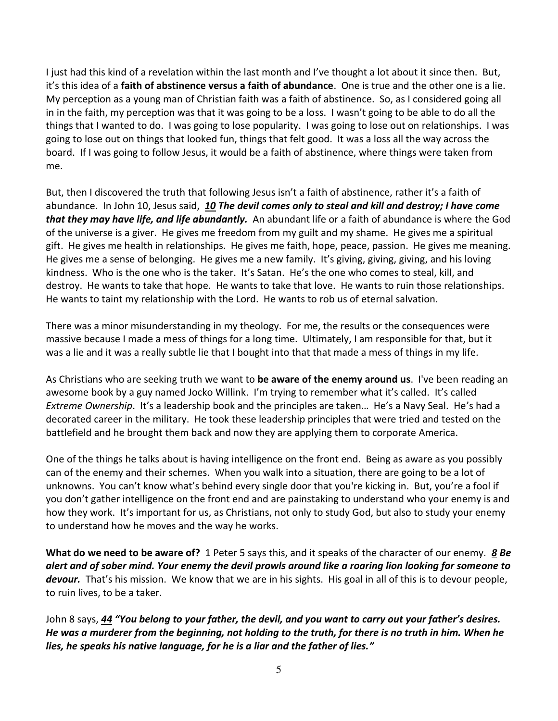I just had this kind of a revelation within the last month and I've thought a lot about it since then. But, it's this idea of a **faith of abstinence versus a faith of abundance**. One is true and the other one is a lie. My perception as a young man of Christian faith was a faith of abstinence. So, as I considered going all in in the faith, my perception was that it was going to be a loss. I wasn't going to be able to do all the things that I wanted to do. I was going to lose popularity. I was going to lose out on relationships. I was going to lose out on things that looked fun, things that felt good. It was a loss all the way across the board. If I was going to follow Jesus, it would be a faith of abstinence, where things were taken from me.

But, then I discovered the truth that following Jesus isn't a faith of abstinence, rather it's a faith of abundance. In John 10, Jesus said, *[10](https://www.studylight.org/desk/?q=joh%2010:10&t1=en_niv&sr=1) The devil comes only to steal and kill and destroy; I have come that they may have life, and life abundantly.* An abundant life or a faith of abundance is where the God of the universe is a giver. He gives me freedom from my guilt and my shame. He gives me a spiritual gift. He gives me health in relationships. He gives me faith, hope, peace, passion. He gives me meaning. He gives me a sense of belonging. He gives me a new family. It's giving, giving, giving, and his loving kindness. Who is the one who is the taker. It's Satan. He's the one who comes to steal, kill, and destroy. He wants to take that hope. He wants to take that love. He wants to ruin those relationships. He wants to taint my relationship with the Lord. He wants to rob us of eternal salvation.

There was a minor misunderstanding in my theology. For me, the results or the consequences were massive because I made a mess of things for a long time. Ultimately, I am responsible for that, but it was a lie and it was a really subtle lie that I bought into that that made a mess of things in my life.

As Christians who are seeking truth we want to **be aware of the enemy around us**. I've been reading an awesome book by a guy named Jocko Willink. I'm trying to remember what it's called. It's called *Extreme Ownership*. It's a leadership book and the principles are taken… He's a Navy Seal. He's had a decorated career in the military. He took these leadership principles that were tried and tested on the battlefield and he brought them back and now they are applying them to corporate America.

One of the things he talks about is having intelligence on the front end. Being as aware as you possibly can of the enemy and their schemes. When you walk into a situation, there are going to be a lot of unknowns. You can't know what's behind every single door that you're kicking in. But, you're a fool if you don't gather intelligence on the front end and are painstaking to understand who your enemy is and how they work. It's important for us, as Christians, not only to study God, but also to study your enemy to understand how he moves and the way he works.

**What do we need to be aware of?** 1 Peter 5 says this, and it speaks of the character of our enemy. *[8](https://www.studylight.org/desk/?q=1pe%205:8&t1=en_niv&sr=1) Be alert and of sober mind. Your enemy the devil prowls around like a roaring lion looking for someone to devour.* That's his mission. We know that we are in his sights. His goal in all of this is to devour people, to ruin lives, to be a taker.

John 8 says, *[44](https://www.studylight.org/desk/?q=joh%208:44&t1=en_niv&sr=1) "You belong to your father, the devil, and you want to carry out your father's desires. He was a murderer from the beginning, not holding to the truth, for there is no truth in him. When he lies, he speaks his native language, for he is a liar and the father of lies."*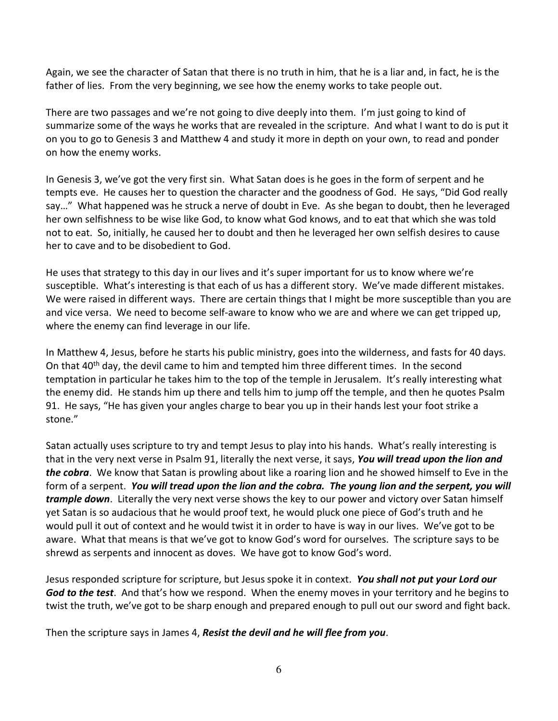Again, we see the character of Satan that there is no truth in him, that he is a liar and, in fact, he is the father of lies. From the very beginning, we see how the enemy works to take people out.

There are two passages and we're not going to dive deeply into them. I'm just going to kind of summarize some of the ways he works that are revealed in the scripture. And what I want to do is put it on you to go to Genesis 3 and Matthew 4 and study it more in depth on your own, to read and ponder on how the enemy works.

In Genesis 3, we've got the very first sin. What Satan does is he goes in the form of serpent and he tempts eve. He causes her to question the character and the goodness of God. He says, "Did God really say…" What happened was he struck a nerve of doubt in Eve. As she began to doubt, then he leveraged her own selfishness to be wise like God, to know what God knows, and to eat that which she was told not to eat. So, initially, he caused her to doubt and then he leveraged her own selfish desires to cause her to cave and to be disobedient to God.

He uses that strategy to this day in our lives and it's super important for us to know where we're susceptible. What's interesting is that each of us has a different story. We've made different mistakes. We were raised in different ways. There are certain things that I might be more susceptible than you are and vice versa. We need to become self-aware to know who we are and where we can get tripped up, where the enemy can find leverage in our life.

In Matthew 4, Jesus, before he starts his public ministry, goes into the wilderness, and fasts for 40 days. On that 40<sup>th</sup> day, the devil came to him and tempted him three different times. In the second temptation in particular he takes him to the top of the temple in Jerusalem. It's really interesting what the enemy did. He stands him up there and tells him to jump off the temple, and then he quotes Psalm 91. He says, "He has given your angles charge to bear you up in their hands lest your foot strike a stone."

Satan actually uses scripture to try and tempt Jesus to play into his hands. What's really interesting is that in the very next verse in Psalm 91, literally the next verse, it says, *You will tread upon the lion and the cobra*. We know that Satan is prowling about like a roaring lion and he showed himself to Eve in the form of a serpent. *You will tread upon the lion and the cobra. The young lion and the serpent, you will trample down*. Literally the very next verse shows the key to our power and victory over Satan himself yet Satan is so audacious that he would proof text, he would pluck one piece of God's truth and he would pull it out of context and he would twist it in order to have is way in our lives. We've got to be aware. What that means is that we've got to know God's word for ourselves. The scripture says to be shrewd as serpents and innocent as doves. We have got to know God's word.

Jesus responded scripture for scripture, but Jesus spoke it in context. *You shall not put your Lord our God to the test*. And that's how we respond. When the enemy moves in your territory and he begins to twist the truth, we've got to be sharp enough and prepared enough to pull out our sword and fight back.

Then the scripture says in James 4, *Resist the devil and he will flee from you*.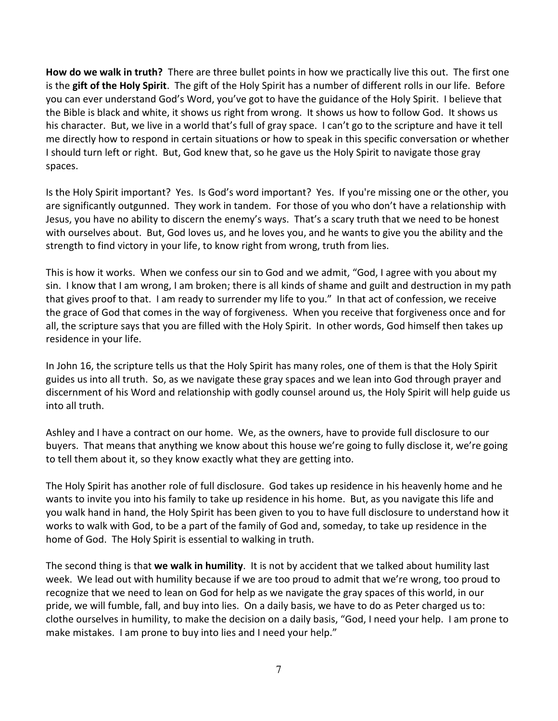**How do we walk in truth?** There are three bullet points in how we practically live this out. The first one is the **gift of the Holy Spirit**. The gift of the Holy Spirit has a number of different rolls in our life. Before you can ever understand God's Word, you've got to have the guidance of the Holy Spirit. I believe that the Bible is black and white, it shows us right from wrong. It shows us how to follow God. It shows us his character. But, we live in a world that's full of gray space. I can't go to the scripture and have it tell me directly how to respond in certain situations or how to speak in this specific conversation or whether I should turn left or right. But, God knew that, so he gave us the Holy Spirit to navigate those gray spaces.

Is the Holy Spirit important? Yes. Is God's word important? Yes. If you're missing one or the other, you are significantly outgunned. They work in tandem. For those of you who don't have a relationship with Jesus, you have no ability to discern the enemy's ways. That's a scary truth that we need to be honest with ourselves about. But, God loves us, and he loves you, and he wants to give you the ability and the strength to find victory in your life, to know right from wrong, truth from lies.

This is how it works. When we confess our sin to God and we admit, "God, I agree with you about my sin. I know that I am wrong, I am broken; there is all kinds of shame and guilt and destruction in my path that gives proof to that. I am ready to surrender my life to you." In that act of confession, we receive the grace of God that comes in the way of forgiveness. When you receive that forgiveness once and for all, the scripture says that you are filled with the Holy Spirit. In other words, God himself then takes up residence in your life.

In John 16, the scripture tells us that the Holy Spirit has many roles, one of them is that the Holy Spirit guides us into all truth. So, as we navigate these gray spaces and we lean into God through prayer and discernment of his Word and relationship with godly counsel around us, the Holy Spirit will help guide us into all truth.

Ashley and I have a contract on our home. We, as the owners, have to provide full disclosure to our buyers. That means that anything we know about this house we're going to fully disclose it, we're going to tell them about it, so they know exactly what they are getting into.

The Holy Spirit has another role of full disclosure. God takes up residence in his heavenly home and he wants to invite you into his family to take up residence in his home. But, as you navigate this life and you walk hand in hand, the Holy Spirit has been given to you to have full disclosure to understand how it works to walk with God, to be a part of the family of God and, someday, to take up residence in the home of God. The Holy Spirit is essential to walking in truth.

The second thing is that **we walk in humility**. It is not by accident that we talked about humility last week. We lead out with humility because if we are too proud to admit that we're wrong, too proud to recognize that we need to lean on God for help as we navigate the gray spaces of this world, in our pride, we will fumble, fall, and buy into lies. On a daily basis, we have to do as Peter charged us to: clothe ourselves in humility, to make the decision on a daily basis, "God, I need your help. I am prone to make mistakes. I am prone to buy into lies and I need your help."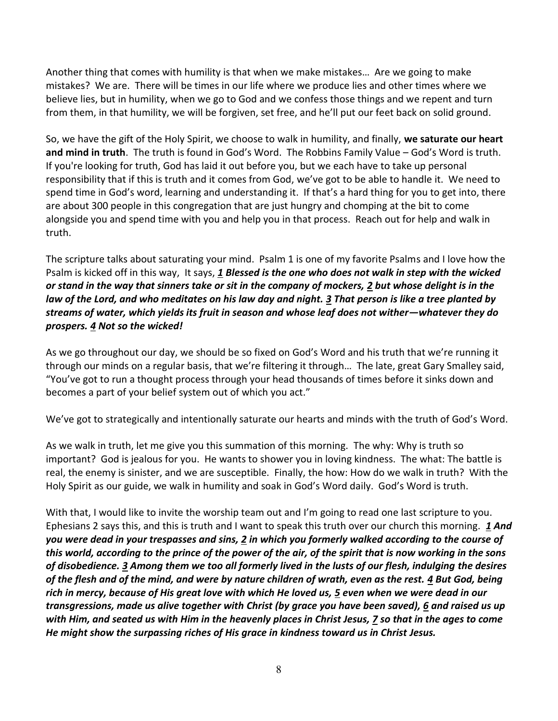Another thing that comes with humility is that when we make mistakes… Are we going to make mistakes? We are. There will be times in our life where we produce lies and other times where we believe lies, but in humility, when we go to God and we confess those things and we repent and turn from them, in that humility, we will be forgiven, set free, and he'll put our feet back on solid ground.

So, we have the gift of the Holy Spirit, we choose to walk in humility, and finally, **we saturate our heart and mind in truth**. The truth is found in God's Word. The Robbins Family Value – God's Word is truth. If you're looking for truth, God has laid it out before you, but we each have to take up personal responsibility that if this is truth and it comes from God, we've got to be able to handle it. We need to spend time in God's word, learning and understanding it. If that's a hard thing for you to get into, there are about 300 people in this congregation that are just hungry and chomping at the bit to come alongside you and spend time with you and help you in that process. Reach out for help and walk in truth.

The scripture talks about saturating your mind. Psalm 1 is one of my favorite Psalms and I love how the Psalm is kicked off in this way, It says, *[1](https://www.studylight.org/desk/?q=ps%201:1&t1=en_niv&sr=1) Blessed is the one who does not walk in step with the wicked or stand in the way that sinners take or sit in the company of mockers, [2](https://www.studylight.org/desk/?q=ps%201:2&t1=en_niv&sr=1) but whose delight is in the law of the Lord, and who meditates on his law day and night. [3](https://www.studylight.org/desk/?q=ps%201:3&t1=en_niv&sr=1) That person is like a tree planted by streams of water, which yields its fruit in season and whose leaf does not wither—whatever they do prospers. [4](https://www.studylight.org/desk/?q=ps%201:4&t1=en_niv&sr=1) Not so the wicked!*

As we go throughout our day, we should be so fixed on God's Word and his truth that we're running it through our minds on a regular basis, that we're filtering it through… The late, great Gary Smalley said, "You've got to run a thought process through your head thousands of times before it sinks down and becomes a part of your belief system out of which you act."

We've got to strategically and intentionally saturate our hearts and minds with the truth of God's Word.

As we walk in truth, let me give you this summation of this morning. The why: Why is truth so important? God is jealous for you. He wants to shower you in loving kindness. The what: The battle is real, the enemy is sinister, and we are susceptible. Finally, the how: How do we walk in truth? With the Holy Spirit as our guide, we walk in humility and soak in God's Word daily. God's Word is truth.

With that, I would like to invite the worship team out and I'm going to read one last scripture to you. Ephesians 2 says this, and this is truth and I want to speak this truth over our church this morning. *[1](https://www.studylight.org/desk/?q=eph%202:1&t1=en_nas&sr=1) And you were dead in your trespasses and sins, [2](https://www.studylight.org/desk/?q=eph%202:2&t1=en_nas&sr=1) in which you formerly walked according to the course of this world, according to the prince of the power of the air, of the spirit that is now working in the sons of disobedience. [3](https://www.studylight.org/desk/?q=eph%202:3&t1=en_nas&sr=1) Among them we too all formerly lived in the lusts of our flesh, indulging the desires of the flesh and of the mind, and were by nature children of wrath, even as the rest. [4](https://www.studylight.org/desk/?q=eph%202:4&t1=en_nas&sr=1) But God, being rich in mercy, because of His great love with which He loved us, [5](https://www.studylight.org/desk/?q=eph%202:5&t1=en_nas&sr=1) even when we were dead in our transgressions, made us alive together with Christ (by grace you have been saved), [6](https://www.studylight.org/desk/?q=eph%202:6&t1=en_nas&sr=1) and raised us up with Him, and seated us with Him in the heavenly places in Christ Jesus, [7](https://www.studylight.org/desk/?q=eph%202:7&t1=en_nas&sr=1) so that in the ages to come He might show the surpassing riches of His grace in kindness toward us in Christ Jesus.*